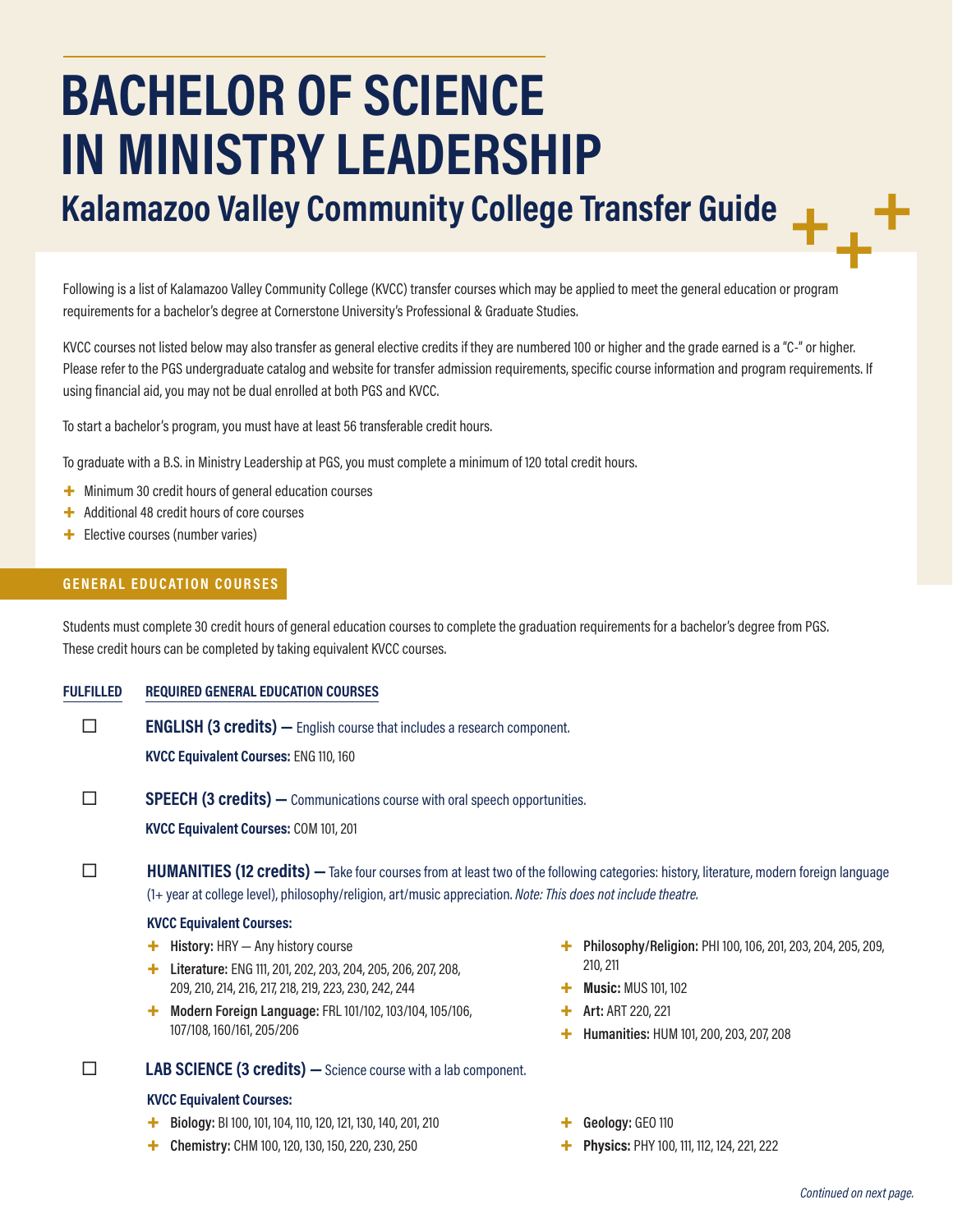# **BACHELOR OF SCIENCE IN MINISTRY LEADERSHIP**

**Kalamazoo Valley Community College Transfer Guide**

Following is a list of Kalamazoo Valley Community College (KVCC) transfer courses which may be applied to meet the general education or program requirements for a bachelor's degree at Cornerstone University's Professional & Graduate Studies.

KVCC courses not listed below may also transfer as general elective credits if they are numbered 100 or higher and the grade earned is a "C-" or higher. Please refer to the PGS undergraduate catalog and website for transfer admission requirements, specific course information and program requirements. If using financial aid, you may not be dual enrolled at both PGS and KVCC.

To start a bachelor's program, you must have at least 56 transferable credit hours.

To graduate with a B.S. in Ministry Leadership at PGS, you must complete a minimum of 120 total credit hours.

- + Minimum 30 credit hours of general education courses
- + Additional 48 credit hours of core courses
- + Elective courses (number varies)

## **GENERAL EDUCATION COURSES**

Students must complete 30 credit hours of general education courses to complete the graduation requirements for a bachelor's degree from PGS. These credit hours can be completed by taking equivalent KVCC courses.

**FULFILLED REQUIRED GENERAL EDUCATION COURSES**

**ENGLISH (3 credits)** — English course that includes a research component. **KVCC Equivalent Courses:** ENG 110, 160

**SPEECH (3 credits)** — Communications course with oral speech opportunities.

**KVCC Equivalent Courses:** COM 101, 201

**HUMANITIES (12 credits)** — Take four courses from at least two of the following categories: history, literature, modern foreign language (1+ year at college level), philosophy/religion, art/music appreciation. *Note: This does not include theatre.*

#### **KVCC Equivalent Courses:**

- + **History:** HRY Any history course
- + **Literature:** ENG 111, 201, 202, 203, 204, 205, 206, 207, 208, 209, 210, 214, 216, 217, 218, 219, 223, 230, 242, 244
- + **Modern Foreign Language:** FRL 101/102, 103/104, 105/106, 107/108, 160/161, 205/206

**LAB SCIENCE (3 credits)** - Science course with a lab component.

#### **KVCC Equivalent Courses:**

- + **Biology:** BI 100, 101, 104, 110, 120, 121, 130, 140, 201, 210
- + **Chemistry:** CHM 100, 120, 130, 150, 220, 230, 250
- + **Philosophy/Religion:** PHI 100, 106, 201, 203, 204, 205, 209, 210, 211
- + **Music:** MUS 101, 102
- + **Art:** ART 220, 221
- + **Humanities:** HUM 101, 200, 203, 207, 208
- + **Geology:** GEO 110
- Physics: PHY 100, 111, 112, 124, 221, 222